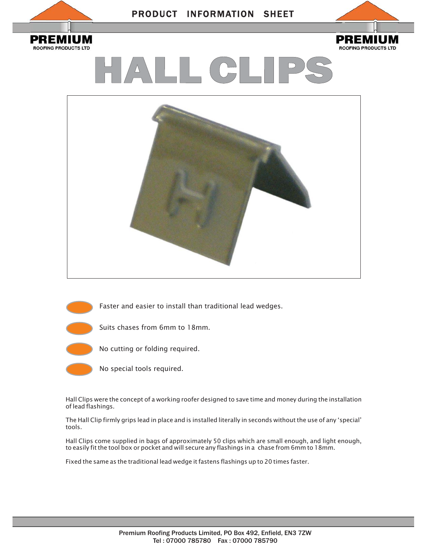

**ROOFING PRODUCTS LTD** 

# PRODUCT INFORMATION SHEET



HALL CLIPS



Faster and easier to install than traditional lead wedges. Suits chases from 6mm to 18mm.



No special tools required.

Hall Clips were the concept of a working roofer designed to save time and money during the installation of lead flashings.

The Hall Clip firmly grips lead in place and is installed literally in seconds without the use of any 'special' tools.

Hall Clips come supplied in bags of approximately 50 clips which are small enough, and light enough, to easily fit the tool box or pocket and will secure any flashings in a chase from 6mm to 18mm.

Fixed the same as the traditional lead wedge it fastens flashings up to 20 times faster.